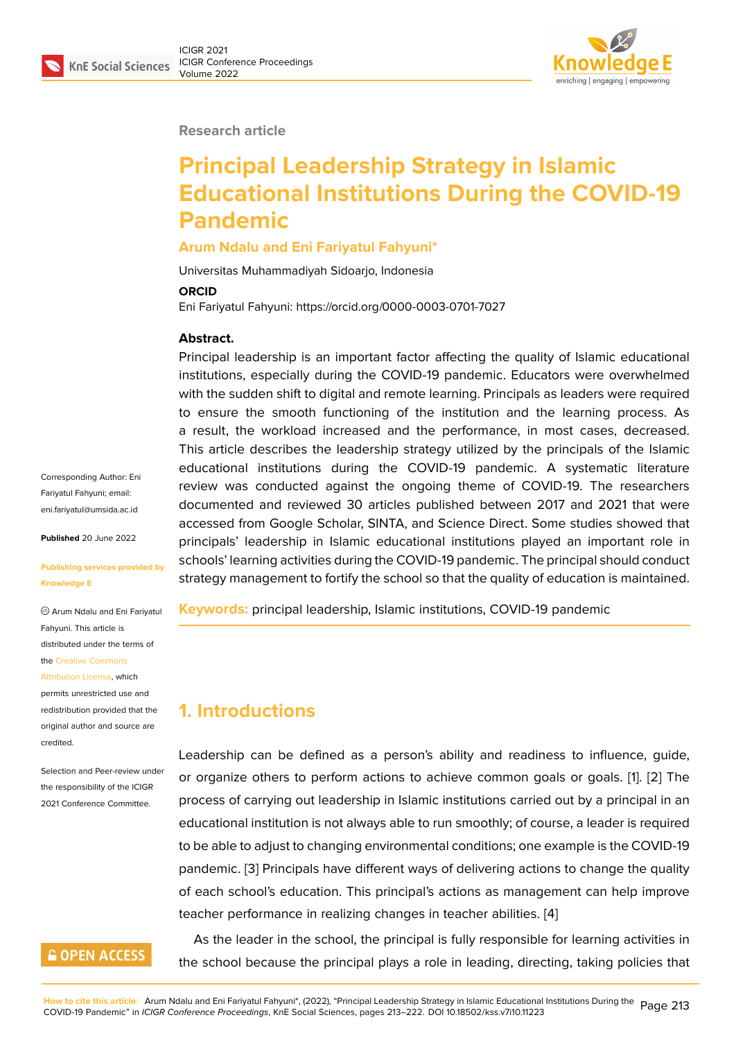

#### **Research article**

# **Principal Leadership Strategy in Islamic Educational Institutions During the COVID-19 Pandemic**

#### **Arum Ndalu and Eni Fariyatul Fahyuni\***

Universitas Muhammadiyah Sidoarjo, Indonesia

#### **ORCID**

Eni Fariyatul Fahyuni: https://orcid.org/0000-0003-0701-7027

#### **Abstract.**

Principal leadership is an important factor affecting the quality of Islamic educational institutions, especially during the COVID-19 pandemic. Educators were overwhelmed with the sudden shift to digital and remote learning. Principals as leaders were required to ensure the smooth functioning of the institution and the learning process. As a result, the workload increased and the performance, in most cases, decreased. This article describes the leadership strategy utilized by the principals of the Islamic educational institutions during the COVID-19 pandemic. A systematic literature review was conducted against the ongoing theme of COVID-19. The researchers documented and reviewed 30 articles published between 2017 and 2021 that were accessed from Google Scholar, SINTA, and Science Direct. Some studies showed that principals' leadership in Islamic educational institutions played an important role in schools' learning activities during the COVID-19 pandemic. The principal should conduct strategy management to fortify the school so that the quality of education is maintained.

**Keywords:** principal leadership, Islamic institutions, COVID-19 pandemic

# **1. Introductions**

Leadership can be defined as a person's ability and readiness to influence, guide, or organize others to perform actions to achieve common goals or goals. [1]. [2] The process of carrying out leadership in Islamic institutions carried out by a principal in an educational institution is not always able to run smoothly; of course, a leader is required to be able to adjust to changing environmental conditions; one example is the [C](#page-7-0)[OV](#page-7-1)ID-19 pandemic. [3] Principals have different ways of delivering actions to change the quality of each school's education. This principal's actions as management can help improve teacher performance in realizing changes in teacher abilities. [4]

As the le[ad](#page-7-2)er in the school, the principal is fully responsible for learning activities in the school because the principal plays a role in leading, direc[tin](#page-7-3)g, taking policies that

Corresponding Author: Eni Fariyatul Fahyuni; email: eni.fariyatul@umsida.ac.id

**Published** 20 June 2022

#### **[Publishing services provi](mailto:eni.fariyatul@umsida.ac.id)ded by Knowledge E**

Arum Ndalu and Eni Fariyatul Fahyuni. This article is distributed under the terms of the Creative Commons

#### Attribution License, which

permits unrestricted use and redistribution provided that the orig[inal author and sou](https://creativecommons.org/licenses/by/4.0/)rce are [credited.](https://creativecommons.org/licenses/by/4.0/)

Selection and Peer-review under the responsibility of the ICIGR 2021 Conference Committee.

### **GOPEN ACCESS**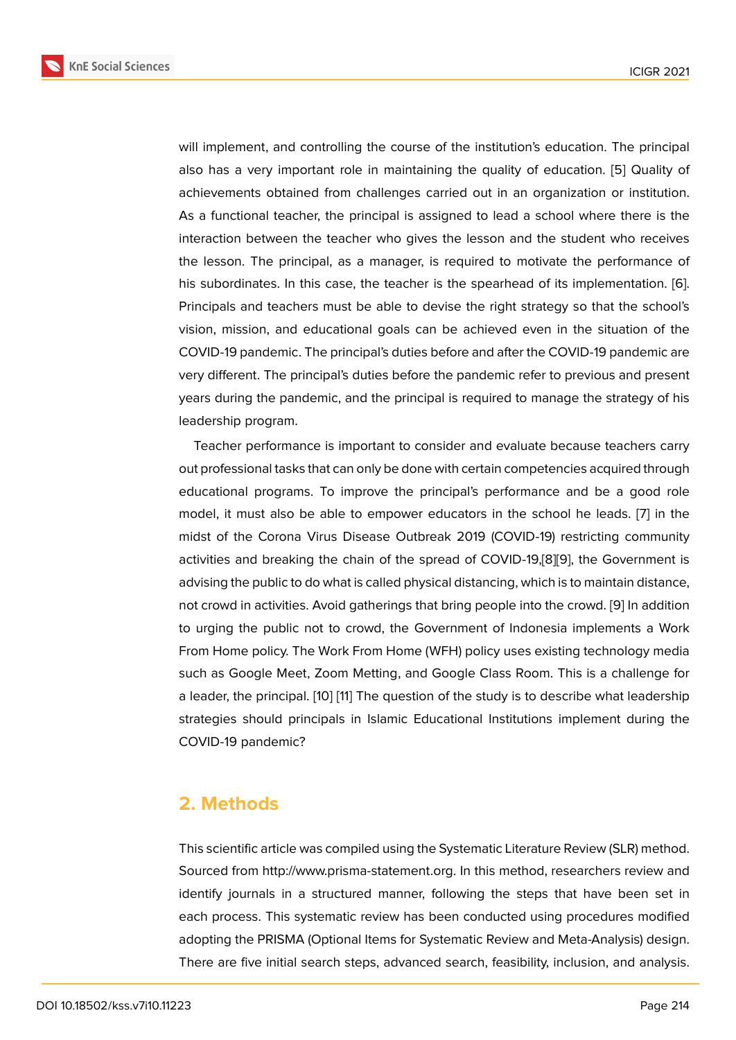will implement, and controlling the course of the institution's education. The principal also has a very important role in maintaining the quality of education. [5] Quality of achievements obtained from challenges carried out in an organization or institution. As a functional teacher, the principal is assigned to lead a school where there is the interaction between the teacher who gives the lesson and the student [wh](#page-7-4)o receives the lesson. The principal, as a manager, is required to motivate the performance of his subordinates. In this case, the teacher is the spearhead of its implementation. [6]. Principals and teachers must be able to devise the right strategy so that the school's vision, mission, and educational goals can be achieved even in the situation of the COVID-19 pandemic. The principal's duties before and after the COVID-19 pandemic [are](#page-7-5) very different. The principal's duties before the pandemic refer to previous and present years during the pandemic, and the principal is required to manage the strategy of his leadership program.

Teacher performance is important to consider and evaluate because teachers carry out professional tasks that can only be done with certain competencies acquired through educational programs. To improve the principal's performance and be a good role model, it must also be able to empower educators in the school he leads. [7] in the midst of the Corona Virus Disease Outbreak 2019 (COVID-19) restricting community activities and breaking the chain of the spread of COVID-19,[8][9], the Government is advising the public to do what is called physical distancing, which is to maintain [di](#page-7-6)stance, not crowd in activities. Avoid gatherings that bring people into the crowd. [9] In addition to urging the public not to crowd, the Government of Indon[es](#page-7-7)[ia](#page-7-8) implements a Work From Home policy. The Work From Home (WFH) policy uses existing technology media such as Google Meet, Zoom Metting, and Google Class Room. This is a [ch](#page-7-8)allenge for a leader, the principal. [10] [11] The question of the study is to describe what leadership strategies should principals in Islamic Educational Institutions implement during the COVID-19 pandemic?

### **2. Methods**

This scientific article was compiled using the Systematic Literature Review (SLR) method. Sourced from http://www.prisma-statement.org. In this method, researchers review and identify journals in a structured manner, following the steps that have been set in each process. This systematic review has been conducted using procedures modified adopting the PRISMA (Optional Items for Systematic Review and Meta-Analysis) design. There are five initial search steps, advanced search, feasibility, inclusion, and analysis.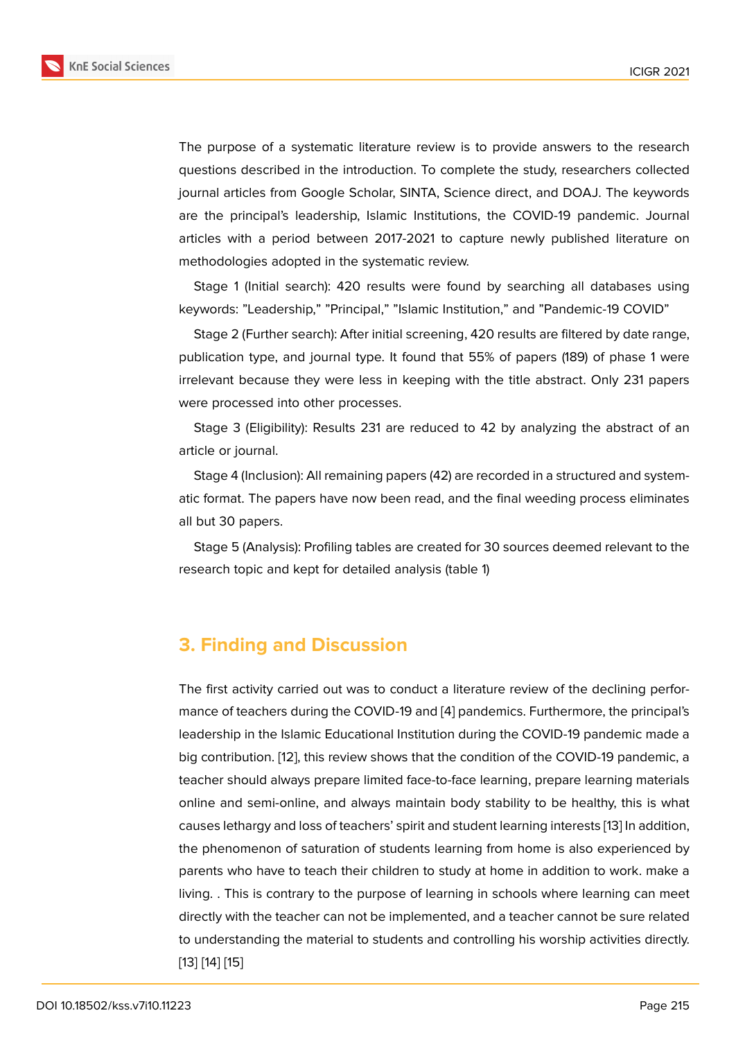The purpose of a systematic literature review is to provide answers to the research questions described in the introduction. To complete the study, researchers collected journal articles from Google Scholar, SINTA, Science direct, and DOAJ. The keywords are the principal's leadership, Islamic Institutions, the COVID-19 pandemic. Journal articles with a period between 2017-2021 to capture newly published literature on methodologies adopted in the systematic review.

Stage 1 (Initial search): 420 results were found by searching all databases using keywords: "Leadership," "Principal," "Islamic Institution," and "Pandemic-19 COVID"

Stage 2 (Further search): After initial screening, 420 results are filtered by date range, publication type, and journal type. It found that 55% of papers (189) of phase 1 were irrelevant because they were less in keeping with the title abstract. Only 231 papers were processed into other processes.

Stage 3 (Eligibility): Results 231 are reduced to 42 by analyzing the abstract of an article or journal.

Stage 4 (Inclusion): All remaining papers (42) are recorded in a structured and systematic format. The papers have now been read, and the final weeding process eliminates all but 30 papers.

Stage 5 (Analysis): Profiling tables are created for 30 sources deemed relevant to the research topic and kept for detailed analysis (table 1)

# **3. Finding and Discussion**

The first activity carried out was to conduct a literature review of the declining performance of teachers during the COVID-19 and [4] pandemics. Furthermore, the principal's leadership in the Islamic Educational Institution during the COVID-19 pandemic made a big contribution. [12], this review shows that the condition of the COVID-19 pandemic, a teacher should always prepare limited face-t[o-f](#page-7-3)ace learning, prepare learning materials online and semi-online, and always maintain body stability to be healthy, this is what causes lethargy a[nd](#page-8-0) loss of teachers' spirit and student learning interests [13] In addition, the phenomenon of saturation of students learning from home is also experienced by parents who have to teach their children to study at home in addition to work. make a living. . This is contrary to the purpose of learning in schools where lear[nin](#page-8-1)g can meet directly with the teacher can not be implemented, and a teacher cannot be sure related to understanding the material to students and controlling his worship activities directly. [13] [14] [15]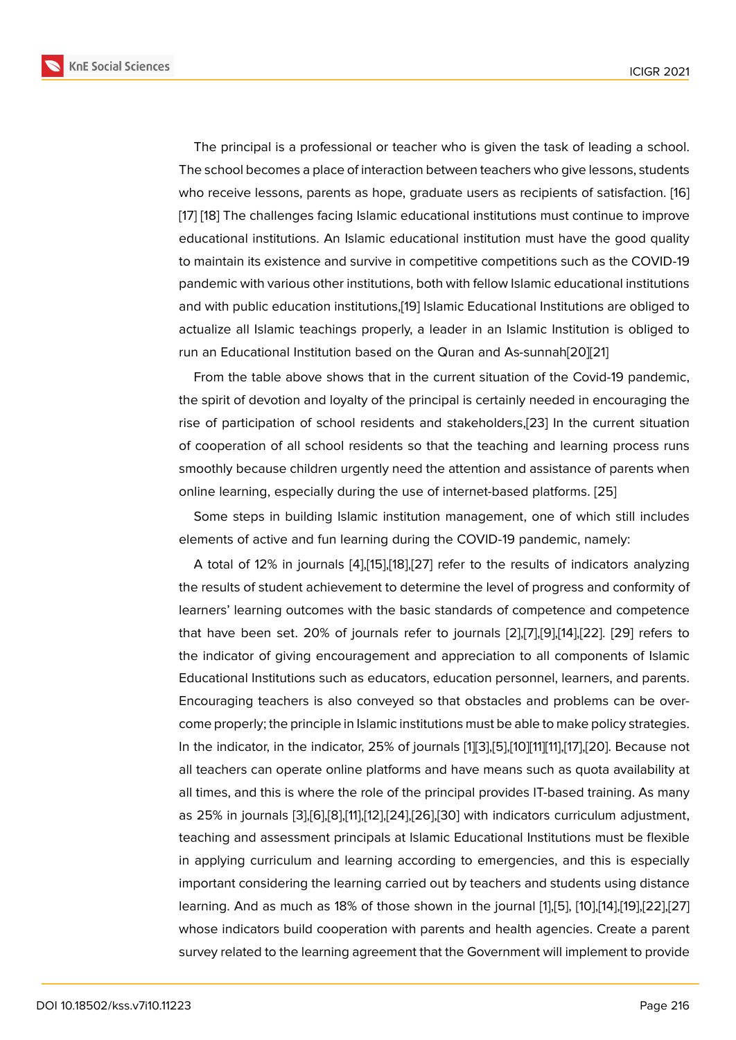The principal is a professional or teacher who is given the task of leading a school. The school becomes a place of interaction between teachers who give lessons, students who receive lessons, parents as hope, graduate users as recipients of satisfaction. [16] [17] [18] The challenges facing Islamic educational institutions must continue to improve educational institutions. An Islamic educational institution must have the good quality to maintain its existence and survive in competitive competitions such as the COVID[-19](#page-8-2) [pan](#page-8-3)[de](#page-8-4)mic with various other institutions, both with fellow Islamic educational institutions and with public education institutions,[19] Islamic Educational Institutions are obliged to actualize all Islamic teachings properly, a leader in an Islamic Institution is obliged to run an Educational Institution based on the Quran and As-sunnah[20][21]

From the table above shows that i[n th](#page-8-5)e current situation of the Covid-19 pandemic, the spirit of devotion and loyalty of the principal is certainly needed in encouraging the rise of participation of school residents and stakeholders,[23] In [the](#page-8-6) [cu](#page-8-7)rrent situation of cooperation of all school residents so that the teaching and learning process runs smoothly because children urgently need the attention and assistance of parents when online learning, especially during the use of internet-based [pla](#page-8-8)tforms. [25]

Some steps in building Islamic institution management, one of which still includes elements of active and fun learning during the COVID-19 pandemic, namely:

A total of 12% in journals [4],[15],[18],[27] refer to the results of indi[cato](#page-9-0)rs analyzing the results of student achievement to determine the level of progress and conformity of learners' learning outcomes with the basic standards of competence and competence that have been set. 20% of [jo](#page-7-3)u[rna](#page-8-9)l[s r](#page-8-4)[efer](#page-9-1) to journals [2],[7],[9],[14],[22]. [29] refers to the indicator of giving encouragement and appreciation to all components of Islamic Educational Institutions such as educators, education personnel, learners, and parents. Encouraging teachers is also conveyed so that obstacl[es](#page-7-1) [an](#page-7-6)[d](#page-7-8) [pro](#page-8-10)b[lem](#page-8-11)s [can](#page-9-2) be overcome properly; the principle in Islamic institutions must be able to make policy strategies. In the indicator, in the indicator, 25% of journals [1][3],[5],[10][11][11],[17],[20]. Because not all teachers can operate online platforms and have means such as quota availability at all times, and this is where the role of the principal provides IT-based training. As many as 25% in journals [3],[6],[8],[11],[12],[24],[26],[30] [w](#page-7-0)i[th](#page-7-2) [ind](#page-7-4)[ica](#page-7-9)t[ors c](#page-7-10)[urri](#page-8-3)c[ulum](#page-8-6) adjustment, teaching and assessment principals at Islamic Educational Institutions must be flexible in applying curriculum and learning according to emergencies, and this is especially important consideri[ng](#page-7-2) [th](#page-7-5)e [le](#page-7-7)[arn](#page-7-10)i[ng](#page-8-0) [carr](#page-9-3)i[ed o](#page-9-4)[ut b](#page-9-5)y teachers and students using distance learning. And as much as 18% of those shown in the journal [1],[5], [10],[14],[19],[22],[27] whose indicators build cooperation with parents and health agencies. Create a parent survey related to the learning agreement that the Government will implement to provide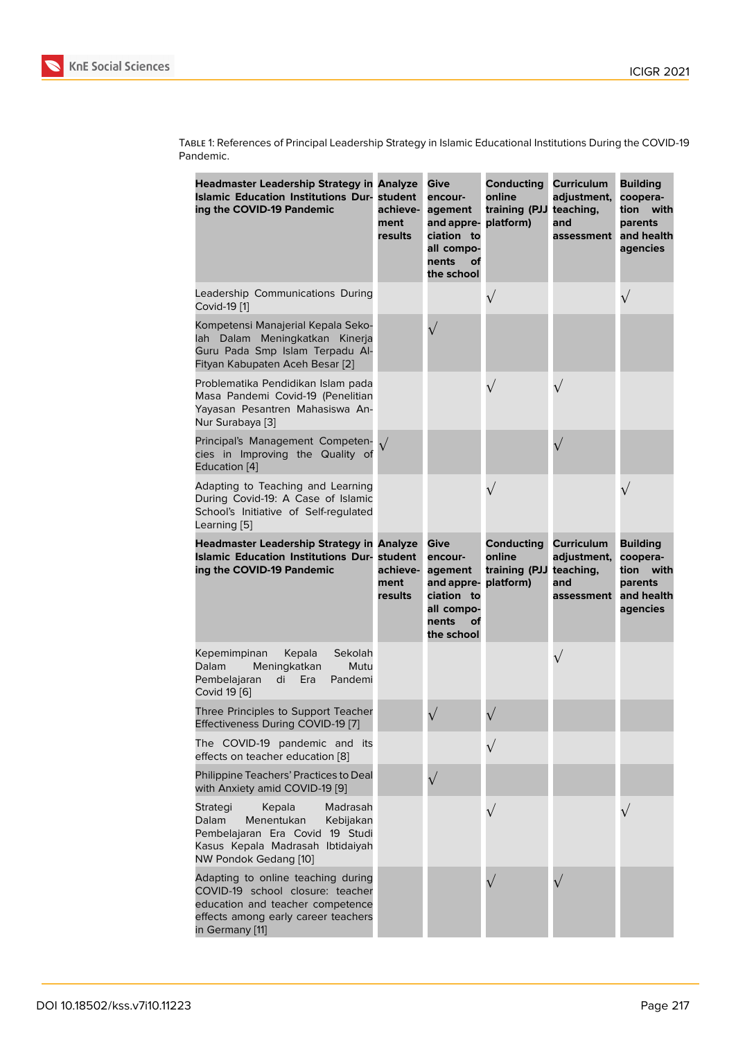| TABLE 1: References of Principal Leadership Strategy in Islamic Educational Institutions During the COVID-19 |
|--------------------------------------------------------------------------------------------------------------|
| Pandemic.                                                                                                    |

| <b>Headmaster Leadership Strategy in Analyze</b><br><b>Islamic Education Institutions Dur-</b><br>ing the COVID-19 Pandemic                                          | student<br>achieve-<br>ment<br>results | <b>Give</b><br>encour-<br>agement<br>and appre-<br>ciation to<br>all compo-<br>nents<br>оf<br>the school | <b>Conducting</b><br>online<br>training (PJJ<br>platform) | Curriculum<br>adjustment,<br>teaching,<br>and<br>assessment        | <b>Building</b><br>coopera-<br>tion with<br>parents<br>and health<br>agencies    |
|----------------------------------------------------------------------------------------------------------------------------------------------------------------------|----------------------------------------|----------------------------------------------------------------------------------------------------------|-----------------------------------------------------------|--------------------------------------------------------------------|----------------------------------------------------------------------------------|
| Leadership Communications During<br>Covid-19 [1]                                                                                                                     |                                        |                                                                                                          | $\sqrt{}$                                                 |                                                                    | $\sqrt{}$                                                                        |
| Kompetensi Manajerial Kepala Seko-<br>lah Dalam Meningkatkan Kinerja<br>Guru Pada Smp Islam Terpadu Al-<br>Fityan Kabupaten Aceh Besar [2]                           |                                        |                                                                                                          |                                                           |                                                                    |                                                                                  |
| Problematika Pendidikan Islam pada<br>Masa Pandemi Covid-19 (Penelitian<br>Yayasan Pesantren Mahasiswa An-<br>Nur Surabaya [3]                                       |                                        |                                                                                                          | $\sqrt{}$                                                 | $\sqrt{}$                                                          |                                                                                  |
| Principal's Management Competen-<br>cies in Improving the Quality of<br>Education [4]                                                                                |                                        |                                                                                                          |                                                           | $\sqrt{}$                                                          |                                                                                  |
| Adapting to Teaching and Learning<br>During Covid-19: A Case of Islamic<br>School's Initiative of Self-regulated<br>Learning [5]                                     |                                        |                                                                                                          | $\sqrt{}$                                                 |                                                                    | $\sqrt{}$                                                                        |
| <b>Headmaster Leadership Strategy in Analyze</b><br><b>Islamic Education Institutions Dur-</b><br>ing the COVID-19 Pandemic                                          | student<br>achieve-<br>ment<br>results | Give<br>encour-<br>agement<br>and appre-<br>ciation to<br>all compo-<br>nents<br>оf<br>the school        | Conducting<br>online<br>training (PJJ<br>platform)        | <b>Curriculum</b><br>adjustment,<br>teaching,<br>and<br>assessment | <b>Building</b><br>coopera-<br>tion<br>with<br>parents<br>and health<br>agencies |
| Kepemimpinan<br>Kepala<br>Sekolah<br>Dalam<br>Meningkatkan<br>Mutu<br>Pembelajaran<br>Pandemi<br>di<br>Era<br>Covid 19 [6]                                           |                                        |                                                                                                          |                                                           | $\sqrt{}$                                                          |                                                                                  |
| Three Principles to Support Teacher<br>Effectiveness During COVID-19 [7]                                                                                             |                                        |                                                                                                          |                                                           |                                                                    |                                                                                  |
| The COVID-19 pandemic and its<br>effects on teacher education [8]                                                                                                    |                                        |                                                                                                          |                                                           |                                                                    |                                                                                  |
| Philippine Teachers' Practices to Deal<br>with Anxiety amid COVID-19 [9]                                                                                             |                                        |                                                                                                          |                                                           |                                                                    |                                                                                  |
| Strategi<br>Kepala<br>Madrasah<br>Menentukan<br>Dalam<br>Kebijakan<br>Pembelajaran Era Covid 19 Studi<br>Kasus Kepala Madrasah Ibtidaiyah<br>NW Pondok Gedang [10]   |                                        |                                                                                                          |                                                           |                                                                    |                                                                                  |
| Adapting to online teaching during<br>COVID-19 school closure: teacher<br>education and teacher competence<br>effects among early career teachers<br>in Germany [11] |                                        |                                                                                                          |                                                           |                                                                    |                                                                                  |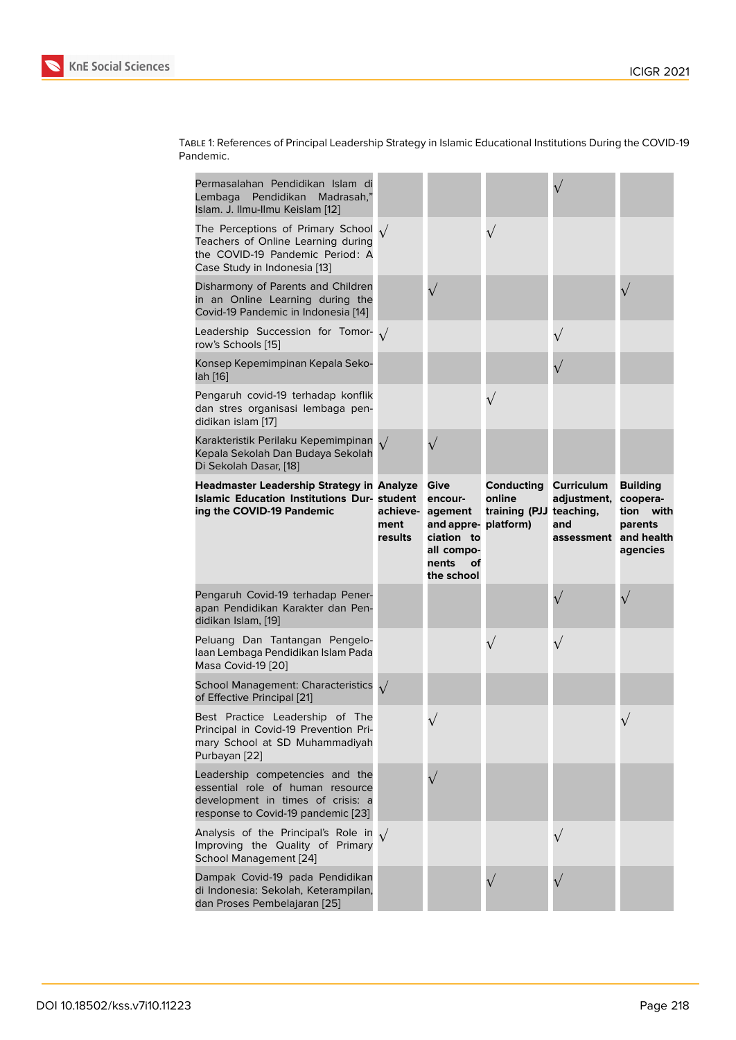| TABLE 1: References of Principal Leadership Strategy in Islamic Educational Institutions During the COVID-19 |
|--------------------------------------------------------------------------------------------------------------|
| Pandemic.                                                                                                    |

| Permasalahan Pendidikan Islam di<br>Pendidikan<br>Madrasah,"<br>Lembaga<br>Islam. J. Ilmu-Ilmu Keislam [12]                                          |                             |                                                                                                            |                                                 |                                                                  |                                                                    |
|------------------------------------------------------------------------------------------------------------------------------------------------------|-----------------------------|------------------------------------------------------------------------------------------------------------|-------------------------------------------------|------------------------------------------------------------------|--------------------------------------------------------------------|
| The Perceptions of Primary School $\sqrt{}$<br>Teachers of Online Learning during<br>the COVID-19 Pandemic Period: A<br>Case Study in Indonesia [13] |                             |                                                                                                            | $\sqrt{}$                                       |                                                                  |                                                                    |
| Disharmony of Parents and Children<br>in an Online Learning during the<br>Covid-19 Pandemic in Indonesia [14]                                        |                             | $\sqrt{}$                                                                                                  |                                                 |                                                                  |                                                                    |
| Leadership Succession for Tomor- $\sqrt{}$<br>row's Schools [15]                                                                                     |                             |                                                                                                            |                                                 |                                                                  |                                                                    |
| Konsep Kepemimpinan Kepala Seko-<br>lah [16]                                                                                                         |                             |                                                                                                            |                                                 |                                                                  |                                                                    |
| Pengaruh covid-19 terhadap konflik<br>dan stres organisasi lembaga pen-<br>didikan islam [17]                                                        |                             |                                                                                                            | $\sqrt{}$                                       |                                                                  |                                                                    |
| Karakteristik Perilaku Kepemimpinan<br>Kepala Sekolah Dan Budaya Sekolah<br>Di Sekolah Dasar, [18]                                                   | $\sqrt{}$                   | $\sqrt{}$                                                                                                  |                                                 |                                                                  |                                                                    |
| <b>Headmaster Leadership Strategy in Analyze</b><br><b>Islamic Education Institutions Dur- student</b><br>ing the COVID-19 Pandemic                  | achieve-<br>ment<br>results | Give<br>encour-<br>agement<br>and appre-platform)<br>ciation to<br>all compo-<br>nents<br>οf<br>the school | Conducting<br>online<br>training (PJJ teaching, | <b>Curriculum</b><br>adjustment,<br>and<br>assessment and health | <b>Building</b><br>coopera-<br>tion<br>with<br>parents<br>agencies |
| Pengaruh Covid-19 terhadap Pener-<br>apan Pendidikan Karakter dan Pen-<br>didikan Islam, [19]                                                        |                             |                                                                                                            |                                                 |                                                                  |                                                                    |
| Peluang Dan Tantangan Pengelo-<br>laan Lembaga Pendidikan Islam Pada<br>Masa Covid-19 [20]                                                           |                             |                                                                                                            | $\sqrt{}$                                       | $\sqrt{}$                                                        |                                                                    |
| <b>School Management: Characteristics</b><br>of Effective Principal [21]                                                                             | $\sqrt{ }$                  |                                                                                                            |                                                 |                                                                  |                                                                    |
| Best Practice Leadership of The<br>Principal in Covid-19 Prevention Pri-<br>mary School at SD Muhammadiyah<br>Purbayan [22]                          |                             |                                                                                                            |                                                 |                                                                  |                                                                    |
| Leadership competencies and the<br>essential role of human resource                                                                                  |                             |                                                                                                            |                                                 |                                                                  |                                                                    |
| development in times of crisis: a<br>response to Covid-19 pandemic [23]                                                                              |                             |                                                                                                            |                                                 |                                                                  |                                                                    |
| Analysis of the Principal's Role in $\sqrt{}$<br>Improving the Quality of Primary<br>School Management [24]                                          |                             |                                                                                                            |                                                 |                                                                  |                                                                    |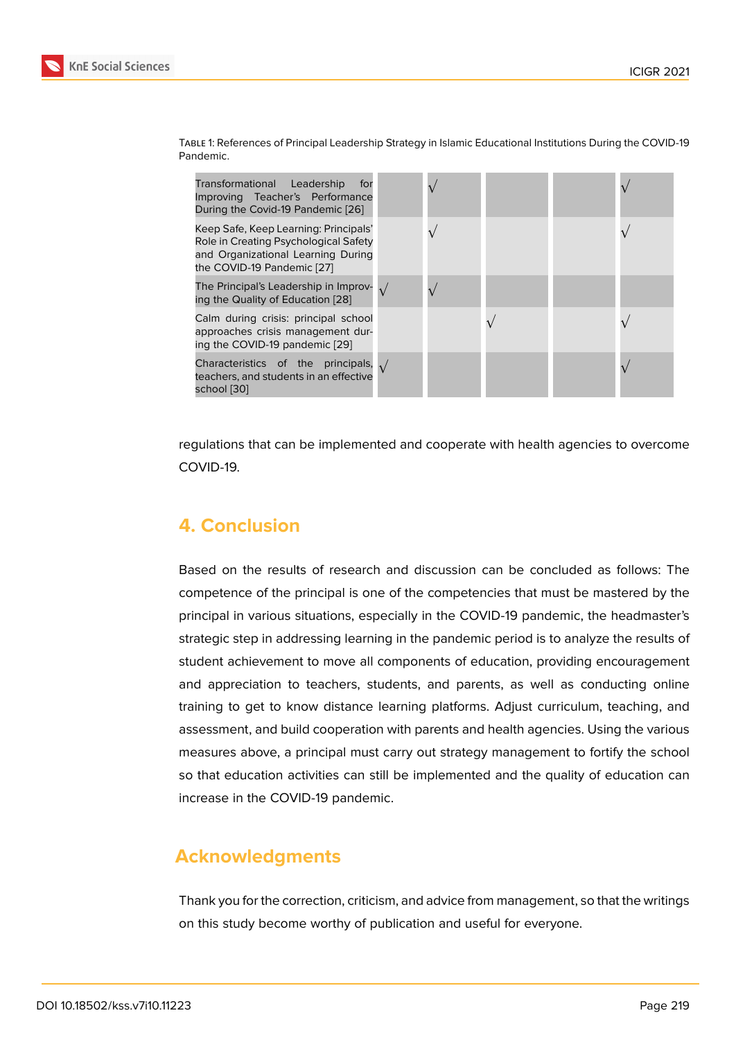| Transformational Leadership<br>for<br>Improving Teacher's Performance<br>During the Covid-19 Pandemic [26]                                         |  |  |  |
|----------------------------------------------------------------------------------------------------------------------------------------------------|--|--|--|
| Keep Safe, Keep Learning: Principals'<br>Role in Creating Psychological Safety<br>and Organizational Learning During<br>the COVID-19 Pandemic [27] |  |  |  |
| The Principal's Leadership in Improv- $\sqrt{ }$<br>ing the Quality of Education [28]                                                              |  |  |  |
| Calm during crisis: principal school<br>approaches crisis management dur-<br>ing the COVID-19 pandemic [29]                                        |  |  |  |
| Characteristics of the principals, $\sqrt{}$<br>teachers, and students in an effective<br>school [30]                                              |  |  |  |

Table 1: References of Principal Leadership Strategy in Islamic Educational Institutions During the COVID-19 Pandemic.

regulatio[ns](#page-9-5) that can be implemented and cooperate with health agencies to overcome COVID-19.

# **4. Conclusion**

Based on the results of research and discussion can be concluded as follows: The competence of the principal is one of the competencies that must be mastered by the principal in various situations, especially in the COVID-19 pandemic, the headmaster's strategic step in addressing learning in the pandemic period is to analyze the results of student achievement to move all components of education, providing encouragement and appreciation to teachers, students, and parents, as well as conducting online training to get to know distance learning platforms. Adjust curriculum, teaching, and assessment, and build cooperation with parents and health agencies. Using the various measures above, a principal must carry out strategy management to fortify the school so that education activities can still be implemented and the quality of education can increase in the COVID-19 pandemic.

# **Acknowledgments**

Thank you for the correction, criticism, and advice from management, so that the writings on this study become worthy of publication and useful for everyone.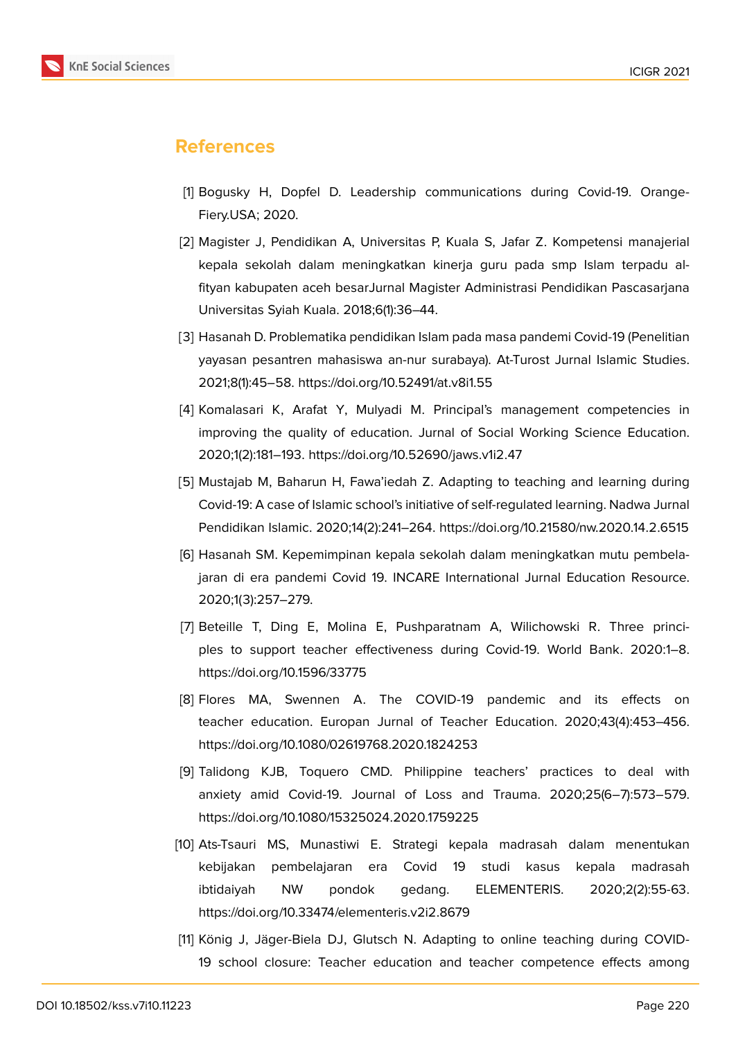

## **References**

- <span id="page-7-0"></span>[1] Bogusky H, Dopfel D. Leadership communications during Covid-19. Orange-Fiery.USA; 2020.
- <span id="page-7-1"></span>[2] Magister J, Pendidikan A, Universitas P, Kuala S, Jafar Z. Kompetensi manajerial kepala sekolah dalam meningkatkan kinerja guru pada smp Islam terpadu alfityan kabupaten aceh besarJurnal Magister Administrasi Pendidikan Pascasarjana Universitas Syiah Kuala. 2018;6(1):36–44.
- <span id="page-7-2"></span>[3] Hasanah D. Problematika pendidikan Islam pada masa pandemi Covid-19 (Penelitian yayasan pesantren mahasiswa an-nur surabaya). At-Turost Jurnal Islamic Studies. 2021;8(1):45–58. https://doi.org/10.52491/at.v8i1.55
- <span id="page-7-3"></span>[4] Komalasari K, Arafat Y, Mulyadi M. Principal's management competencies in improving the quality of education. Jurnal of Social Working Science Education. 2020;1(2):181–193. https://doi.org/10.52690/jaws.v1i2.47
- <span id="page-7-4"></span>[5] Mustajab M, Baharun H, Fawa'iedah Z. Adapting to teaching and learning during Covid-19: A case of Islamic school's initiative of self-regulated learning. Nadwa Jurnal Pendidikan Islamic. 2020;14(2):241–264. https://doi.org/10.21580/nw.2020.14.2.6515
- <span id="page-7-5"></span>[6] Hasanah SM. Kepemimpinan kepala sekolah dalam meningkatkan mutu pembelajaran di era pandemi Covid 19. INCARE International Jurnal Education Resource. 2020;1(3):257–279.
- <span id="page-7-6"></span>[7] Beteille T, Ding E, Molina E, Pushparatnam A, Wilichowski R. Three principles to support teacher effectiveness during Covid-19. World Bank. 2020:1–8. https://doi.org/10.1596/33775
- <span id="page-7-7"></span>[8] Flores MA, Swennen A. The COVID-19 pandemic and its effects on teacher education. Europan Jurnal of Teacher Education. 2020;43(4):453–456. https://doi.org/10.1080/02619768.2020.1824253
- <span id="page-7-8"></span>[9] Talidong KJB, Toquero CMD. Philippine teachers' practices to deal with anxiety amid Covid-19. Journal of Loss and Trauma. 2020;25(6–7):573–579. https://doi.org/10.1080/15325024.2020.1759225
- <span id="page-7-9"></span>[10] Ats-Tsauri MS, Munastiwi E. Strategi kepala madrasah dalam menentukan kebijakan pembelajaran era Covid 19 studi kasus kepala madrasah ibtidaiyah NW pondok gedang. ELEMENTERIS. 2020;2(2):55-63. https://doi.org/10.33474/elementeris.v2i2.8679
- <span id="page-7-10"></span>[11] König J, Jäger-Biela DJ, Glutsch N. Adapting to online teaching during COVID-19 school closure: Teacher education and teacher competence effects among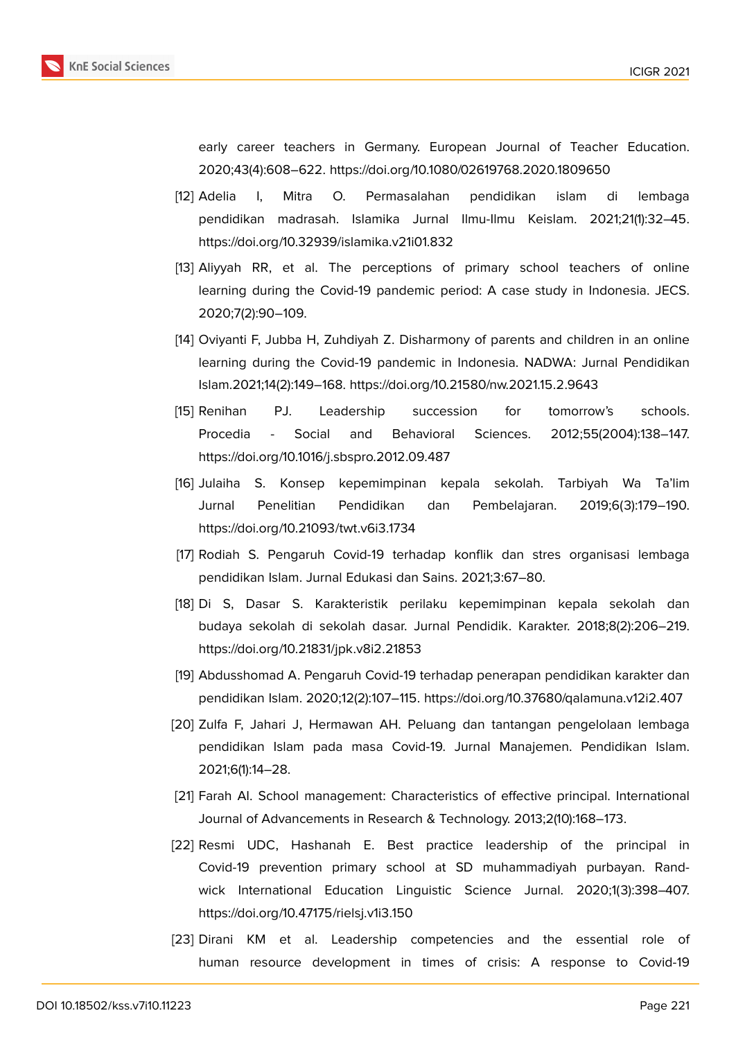

early career teachers in Germany. European Journal of Teacher Education. 2020;43(4):608–622. https://doi.org/10.1080/02619768.2020.1809650

- <span id="page-8-0"></span>[12] Adelia I, Mitra O. Permasalahan pendidikan islam di lembaga pendidikan madrasah. Islamika Jurnal Ilmu-Ilmu Keislam. 2021;21(1):32–45. https://doi.org/10.32939/islamika.v21i01.832
- <span id="page-8-1"></span>[13] Aliyyah RR, et al. The perceptions of primary school teachers of online learning during the Covid-19 pandemic period: A case study in Indonesia. JECS. 2020;7(2):90–109.
- <span id="page-8-10"></span>[14] Oviyanti F, Jubba H, Zuhdiyah Z. Disharmony of parents and children in an online learning during the Covid-19 pandemic in Indonesia. NADWA: Jurnal Pendidikan Islam.2021;14(2):149–168. https://doi.org/10.21580/nw.2021.15.2.9643
- <span id="page-8-9"></span>[15] Renihan PJ. Leadership succession for tomorrow's schools. Procedia - Social and Behavioral Sciences. 2012;55(2004):138–147. https://doi.org/10.1016/j.sbspro.2012.09.487
- <span id="page-8-2"></span>[16] Julaiha S. Konsep kepemimpinan kepala sekolah. Tarbiyah Wa Ta'lim Jurnal Penelitian Pendidikan dan Pembelajaran. 2019;6(3):179–190. https://doi.org/10.21093/twt.v6i3.1734
- <span id="page-8-3"></span>[17] Rodiah S. Pengaruh Covid-19 terhadap konflik dan stres organisasi lembaga pendidikan Islam. Jurnal Edukasi dan Sains. 2021;3:67–80.
- <span id="page-8-4"></span>[18] Di S, Dasar S. Karakteristik perilaku kepemimpinan kepala sekolah dan budaya sekolah di sekolah dasar. Jurnal Pendidik. Karakter. 2018;8(2):206–219. https://doi.org/10.21831/jpk.v8i2.21853
- <span id="page-8-5"></span>[19] Abdusshomad A. Pengaruh Covid-19 terhadap penerapan pendidikan karakter dan pendidikan Islam. 2020;12(2):107–115. https://doi.org/10.37680/qalamuna.v12i2.407
- <span id="page-8-6"></span>[20] Zulfa F, Jahari J, Hermawan AH. Peluang dan tantangan pengelolaan lembaga pendidikan Islam pada masa Covid-19. Jurnal Manajemen. Pendidikan Islam. 2021;6(1):14–28.
- <span id="page-8-7"></span>[21] Farah AI. School management: Characteristics of effective principal. International Journal of Advancements in Research & Technology. 2013;2(10):168–173.
- <span id="page-8-11"></span>[22] Resmi UDC, Hashanah E. Best practice leadership of the principal in Covid-19 prevention primary school at SD muhammadiyah purbayan. Randwick International Education Linguistic Science Jurnal. 2020;1(3):398–407. https://doi.org/10.47175/rielsj.v1i3.150
- <span id="page-8-8"></span>[23] Dirani KM et al. Leadership competencies and the essential role of human resource development in times of crisis: A response to Covid-19